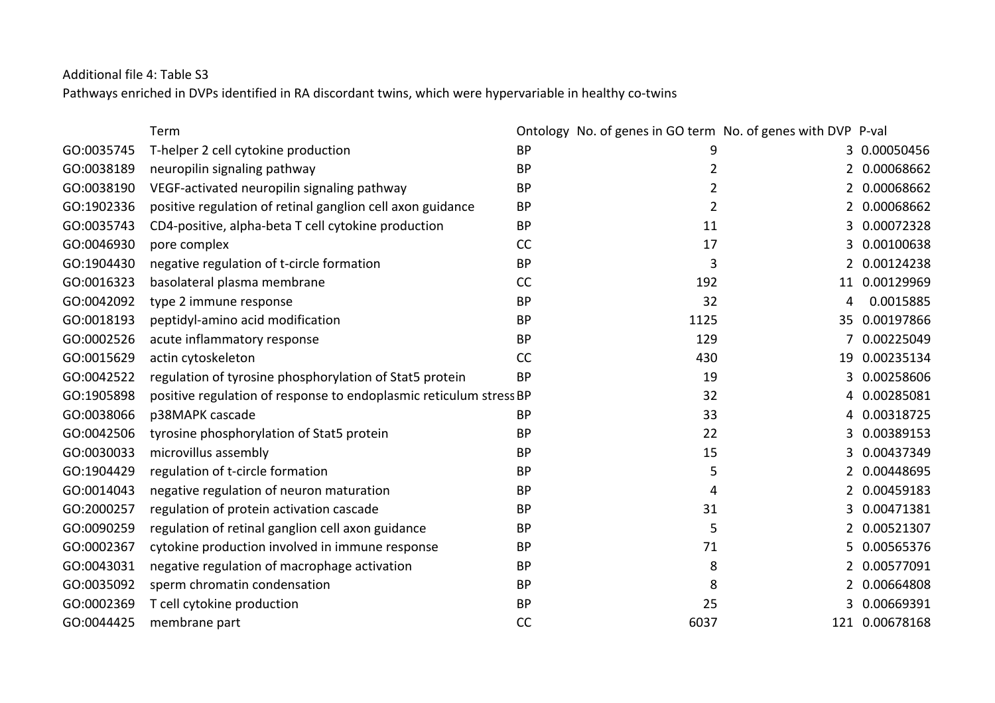Additional file 4: Table S3

Pathways enriched in DVPs identified in RA discordant twins, which were hypervariable in healthy co-twins

|            | Term                                                               |           | Ontology No. of genes in GO term No. of genes with DVP |    | P-val          |
|------------|--------------------------------------------------------------------|-----------|--------------------------------------------------------|----|----------------|
| GO:0035745 | T-helper 2 cell cytokine production                                | <b>BP</b> | 9                                                      | 3  | 0.00050456     |
| GO:0038189 | neuropilin signaling pathway                                       | <b>BP</b> | $\overline{2}$                                         | 2  | 0.00068662     |
| GO:0038190 | VEGF-activated neuropilin signaling pathway                        | <b>BP</b> | $\overline{2}$                                         |    | 0.00068662     |
| GO:1902336 | positive regulation of retinal ganglion cell axon guidance         | <b>BP</b> | 2                                                      | 2  | 0.00068662     |
| GO:0035743 | CD4-positive, alpha-beta T cell cytokine production                | <b>BP</b> | 11                                                     | 3  | 0.00072328     |
| GO:0046930 | pore complex                                                       | CC        | 17                                                     |    | 0.00100638     |
| GO:1904430 | negative regulation of t-circle formation                          | <b>BP</b> | 3                                                      | 2  | 0.00124238     |
| GO:0016323 | basolateral plasma membrane                                        | CC        | 192                                                    | 11 | 0.00129969     |
| GO:0042092 | type 2 immune response                                             | <b>BP</b> | 32                                                     | 4  | 0.0015885      |
| GO:0018193 | peptidyl-amino acid modification                                   | <b>BP</b> | 1125                                                   |    | 35 0.00197866  |
| GO:0002526 | acute inflammatory response                                        | <b>BP</b> | 129                                                    |    | 0.00225049     |
| GO:0015629 | actin cytoskeleton                                                 | CC        | 430                                                    | 19 | 0.00235134     |
| GO:0042522 | regulation of tyrosine phosphorylation of Stat5 protein            | <b>BP</b> | 19                                                     | 3  | 0.00258606     |
| GO:1905898 | positive regulation of response to endoplasmic reticulum stress BP |           | 32                                                     | 4  | 0.00285081     |
| GO:0038066 | p38MAPK cascade                                                    | <b>BP</b> | 33                                                     | 4  | 0.00318725     |
| GO:0042506 | tyrosine phosphorylation of Stat5 protein                          | <b>BP</b> | 22                                                     | 3  | 0.00389153     |
| GO:0030033 | microvillus assembly                                               | <b>BP</b> | 15                                                     | 3  | 0.00437349     |
| GO:1904429 | regulation of t-circle formation                                   | <b>BP</b> | 5                                                      |    | 0.00448695     |
| GO:0014043 | negative regulation of neuron maturation                           | <b>BP</b> | 4                                                      | 2  | 0.00459183     |
| GO:2000257 | regulation of protein activation cascade                           | <b>BP</b> | 31                                                     | 3  | 0.00471381     |
| GO:0090259 | regulation of retinal ganglion cell axon guidance                  | <b>BP</b> | 5                                                      | 2  | 0.00521307     |
| GO:0002367 | cytokine production involved in immune response                    | <b>BP</b> | 71                                                     | 5  | 0.00565376     |
| GO:0043031 | negative regulation of macrophage activation                       | <b>BP</b> | 8                                                      |    | 0.00577091     |
| GO:0035092 | sperm chromatin condensation                                       | <b>BP</b> | 8                                                      | 2  | 0.00664808     |
| GO:0002369 | T cell cytokine production                                         | <b>BP</b> | 25                                                     | 3  | 0.00669391     |
| GO:0044425 | membrane part                                                      | CC        | 6037                                                   |    | 121 0.00678168 |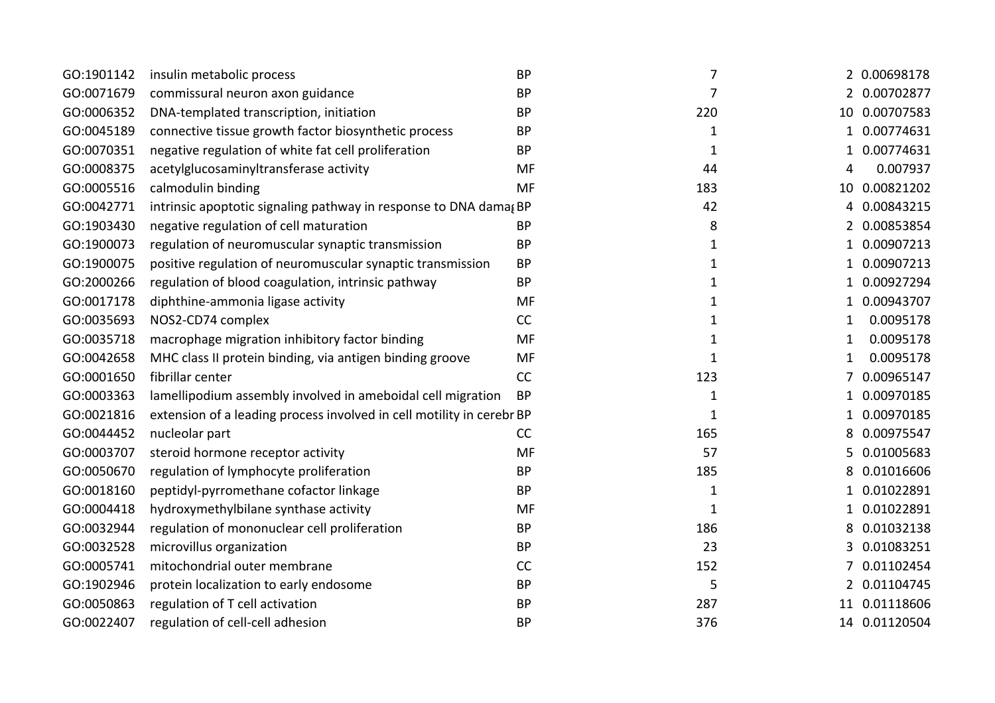| GO:1901142 | insulin metabolic process                                             | <b>BP</b> | 7            |    | 2 0.00698178  |
|------------|-----------------------------------------------------------------------|-----------|--------------|----|---------------|
| GO:0071679 | commissural neuron axon guidance                                      | <b>BP</b> | 7            |    | 2 0.00702877  |
| GO:0006352 | DNA-templated transcription, initiation                               | <b>BP</b> | 220          |    | 10 0.00707583 |
| GO:0045189 | connective tissue growth factor biosynthetic process                  | <b>BP</b> | $\mathbf{1}$ |    | 1 0.00774631  |
| GO:0070351 | negative regulation of white fat cell proliferation                   | <b>BP</b> | 1            | 1  | 0.00774631    |
| GO:0008375 | acetylglucosaminyltransferase activity                                | MF        | 44           | 4  | 0.007937      |
| GO:0005516 | calmodulin binding                                                    | <b>MF</b> | 183          |    | 10 0.00821202 |
| GO:0042771 | intrinsic apoptotic signaling pathway in response to DNA damagBP      |           | 42           | 4  | 0.00843215    |
| GO:1903430 | negative regulation of cell maturation                                | <b>BP</b> | 8            | 2  | 0.00853854    |
| GO:1900073 | regulation of neuromuscular synaptic transmission                     | <b>BP</b> | 1            | 1  | 0.00907213    |
| GO:1900075 | positive regulation of neuromuscular synaptic transmission            | <b>BP</b> | $\mathbf{1}$ |    | 0.00907213    |
| GO:2000266 | regulation of blood coagulation, intrinsic pathway                    | <b>BP</b> | 1            | 1  | 0.00927294    |
| GO:0017178 | diphthine-ammonia ligase activity                                     | MF        | 1            |    | 0.00943707    |
| GO:0035693 | NOS2-CD74 complex                                                     | CC        | $\mathbf{1}$ | 1  | 0.0095178     |
| GO:0035718 | macrophage migration inhibitory factor binding                        | MF        | 1            | 1  | 0.0095178     |
| GO:0042658 | MHC class II protein binding, via antigen binding groove              | MF        | 1            | 1  | 0.0095178     |
| GO:0001650 | fibrillar center                                                      | CC        | 123          |    | 0.00965147    |
| GO:0003363 | lamellipodium assembly involved in ameboidal cell migration           | <b>BP</b> | 1            | 1  | 0.00970185    |
| GO:0021816 | extension of a leading process involved in cell motility in cerebr BP |           | 1            | 1  | 0.00970185    |
| GO:0044452 | nucleolar part                                                        | CC        | 165          | 8  | 0.00975547    |
| GO:0003707 | steroid hormone receptor activity                                     | MF        | 57           | 5  | 0.01005683    |
| GO:0050670 | regulation of lymphocyte proliferation                                | <b>BP</b> | 185          | 8  | 0.01016606    |
| GO:0018160 | peptidyl-pyrromethane cofactor linkage                                | <b>BP</b> | 1            | 1  | 0.01022891    |
| GO:0004418 | hydroxymethylbilane synthase activity                                 | MF        | 1            | 1  | 0.01022891    |
| GO:0032944 | regulation of mononuclear cell proliferation                          | <b>BP</b> | 186          |    | 0.01032138    |
| GO:0032528 | microvillus organization                                              | <b>BP</b> | 23           | 3. | 0.01083251    |
| GO:0005741 | mitochondrial outer membrane                                          | CC        | 152          |    | 0.01102454    |
| GO:1902946 | protein localization to early endosome                                | <b>BP</b> | 5            |    | 2 0.01104745  |
| GO:0050863 | regulation of T cell activation                                       | <b>BP</b> | 287          |    | 11 0.01118606 |
| GO:0022407 | regulation of cell-cell adhesion                                      | <b>BP</b> | 376          |    | 14 0.01120504 |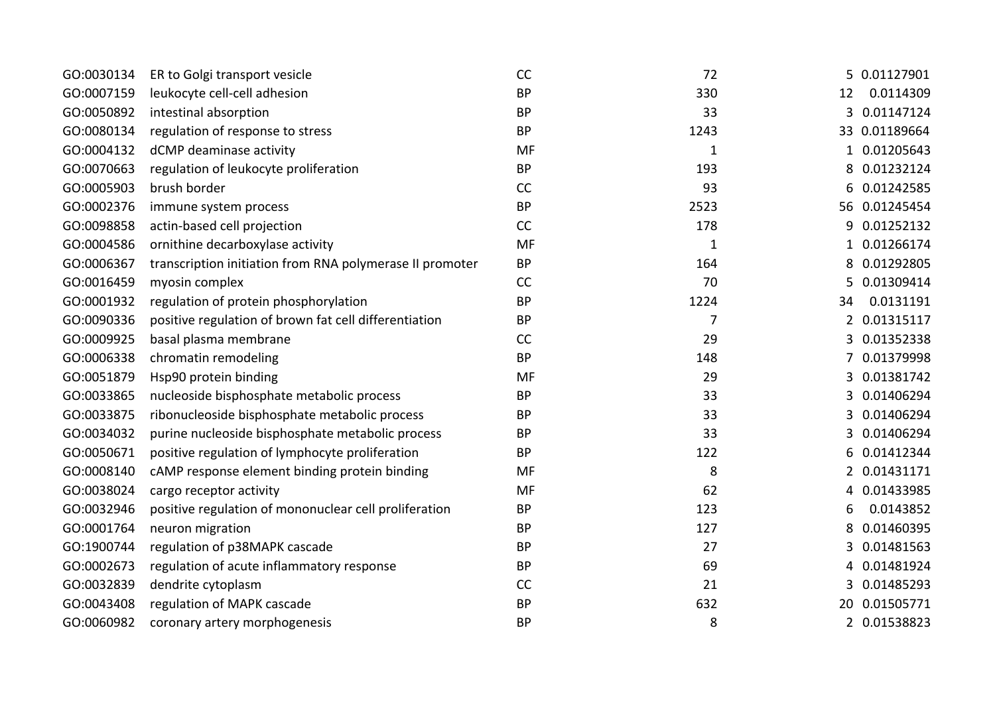| GO:0030134 | ER to Golgi transport vesicle                            | CC        | 72           |                | 5 0.01127901  |
|------------|----------------------------------------------------------|-----------|--------------|----------------|---------------|
| GO:0007159 | leukocyte cell-cell adhesion                             | <b>BP</b> | 330          | 12             | 0.0114309     |
| GO:0050892 | intestinal absorption                                    | <b>BP</b> | 33           | 3              | 0.01147124    |
| GO:0080134 | regulation of response to stress                         | <b>BP</b> | 1243         |                | 33 0.01189664 |
| GO:0004132 | dCMP deaminase activity                                  | <b>MF</b> | $\mathbf{1}$ |                | 0.01205643    |
| GO:0070663 | regulation of leukocyte proliferation                    | <b>BP</b> | 193          | 8              | 0.01232124    |
| GO:0005903 | brush border                                             | CC        | 93           | 6              | 0.01242585    |
| GO:0002376 | immune system process                                    | <b>BP</b> | 2523         |                | 56 0.01245454 |
| GO:0098858 | actin-based cell projection                              | CC        | 178          | 9              | 0.01252132    |
| GO:0004586 | ornithine decarboxylase activity                         | <b>MF</b> | $\mathbf{1}$ | $\mathbf{1}$   | 0.01266174    |
| GO:0006367 | transcription initiation from RNA polymerase II promoter | <b>BP</b> | 164          | 8              | 0.01292805    |
| GO:0016459 | myosin complex                                           | CC        | 70           | 5              | 0.01309414    |
| GO:0001932 | regulation of protein phosphorylation                    | <b>BP</b> | 1224         | 34             | 0.0131191     |
| GO:0090336 | positive regulation of brown fat cell differentiation    | <b>BP</b> | 7            | $\overline{2}$ | 0.01315117    |
| GO:0009925 | basal plasma membrane                                    | <b>CC</b> | 29           | 3              | 0.01352338    |
| GO:0006338 | chromatin remodeling                                     | <b>BP</b> | 148          | 7              | 0.01379998    |
| GO:0051879 | Hsp90 protein binding                                    | <b>MF</b> | 29           | 3              | 0.01381742    |
| GO:0033865 | nucleoside bisphosphate metabolic process                | <b>BP</b> | 33           | 3              | 0.01406294    |
| GO:0033875 | ribonucleoside bisphosphate metabolic process            | <b>BP</b> | 33           | 3              | 0.01406294    |
| GO:0034032 | purine nucleoside bisphosphate metabolic process         | <b>BP</b> | 33           | 3              | 0.01406294    |
| GO:0050671 | positive regulation of lymphocyte proliferation          | <b>BP</b> | 122          |                | 0.01412344    |
| GO:0008140 | cAMP response element binding protein binding            | MF        | 8            | 2              | 0.01431171    |
| GO:0038024 | cargo receptor activity                                  | <b>MF</b> | 62           | 4              | 0.01433985    |
| GO:0032946 | positive regulation of mononuclear cell proliferation    | <b>BP</b> | 123          | 6              | 0.0143852     |
| GO:0001764 | neuron migration                                         | <b>BP</b> | 127          | 8              | 0.01460395    |
| GO:1900744 | regulation of p38MAPK cascade                            | <b>BP</b> | 27           | 3              | 0.01481563    |
| GO:0002673 | regulation of acute inflammatory response                | <b>BP</b> | 69           | 4              | 0.01481924    |
| GO:0032839 | dendrite cytoplasm                                       | CC        | 21           | 3.             | 0.01485293    |
| GO:0043408 | regulation of MAPK cascade                               | <b>BP</b> | 632          |                | 20 0.01505771 |
| GO:0060982 | coronary artery morphogenesis                            | <b>BP</b> | 8            |                | 2 0.01538823  |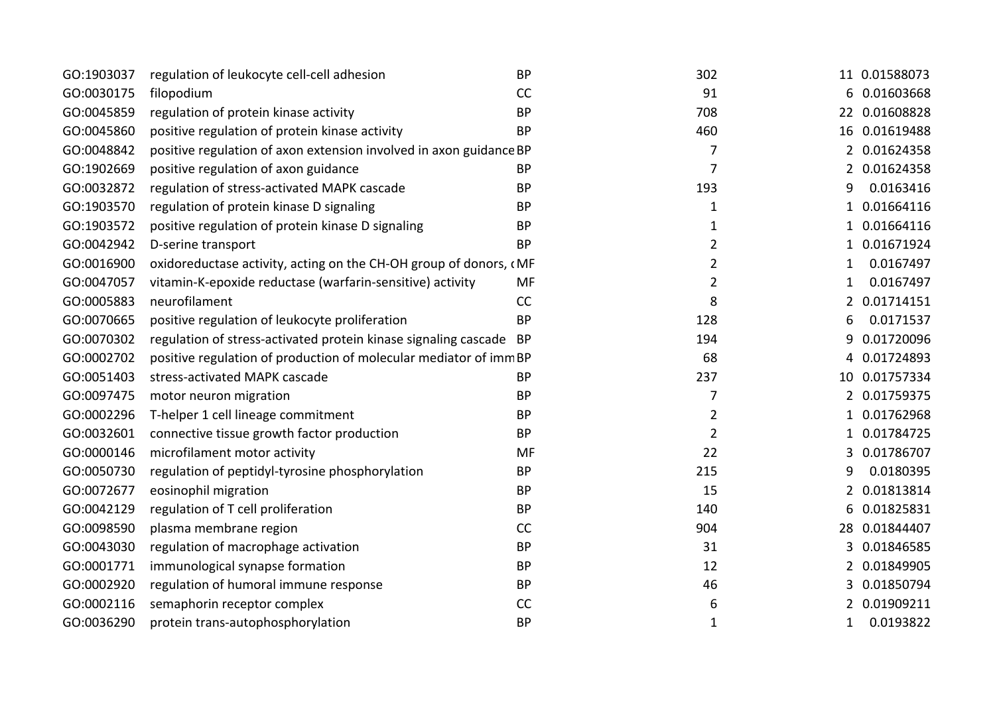| GO:1903037 | regulation of leukocyte cell-cell adhesion                         | <b>BP</b> | 302            |   | 11 0.01588073 |
|------------|--------------------------------------------------------------------|-----------|----------------|---|---------------|
| GO:0030175 | filopodium                                                         | CC        | 91             |   | 6 0.01603668  |
| GO:0045859 | regulation of protein kinase activity                              | <b>BP</b> | 708            |   | 22 0.01608828 |
| GO:0045860 | positive regulation of protein kinase activity                     | <b>BP</b> | 460            |   | 16 0.01619488 |
| GO:0048842 | positive regulation of axon extension involved in axon guidance BP |           | 7              |   | 2 0.01624358  |
| GO:1902669 | positive regulation of axon guidance                               | <b>BP</b> | $\overline{7}$ | 2 | 0.01624358    |
| GO:0032872 | regulation of stress-activated MAPK cascade                        | <b>BP</b> | 193            | 9 | 0.0163416     |
| GO:1903570 | regulation of protein kinase D signaling                           | <b>BP</b> | 1              | 1 | 0.01664116    |
| GO:1903572 | positive regulation of protein kinase D signaling                  | <b>BP</b> | 1              |   | 0.01664116    |
| GO:0042942 | D-serine transport                                                 | <b>BP</b> | $\overline{2}$ | 1 | 0.01671924    |
| GO:0016900 | oxidoreductase activity, acting on the CH-OH group of donors, CMF  |           | $\overline{2}$ | 1 | 0.0167497     |
| GO:0047057 | vitamin-K-epoxide reductase (warfarin-sensitive) activity          | MF        | $\overline{2}$ | 1 | 0.0167497     |
| GO:0005883 | neurofilament                                                      | CC        | 8              | 2 | 0.01714151    |
| GO:0070665 | positive regulation of leukocyte proliferation                     | <b>BP</b> | 128            | 6 | 0.0171537     |
| GO:0070302 | regulation of stress-activated protein kinase signaling cascade BP |           | 194            | 9 | 0.01720096    |
| GO:0002702 | positive regulation of production of molecular mediator of immBP   |           | 68             | 4 | 0.01724893    |
| GO:0051403 | stress-activated MAPK cascade                                      | <b>BP</b> | 237            |   | 10 0.01757334 |
| GO:0097475 | motor neuron migration                                             | <b>BP</b> | 7              | 2 | 0.01759375    |
| GO:0002296 | T-helper 1 cell lineage commitment                                 | <b>BP</b> | $\overline{2}$ | 1 | 0.01762968    |
| GO:0032601 | connective tissue growth factor production                         | <b>BP</b> | $\overline{2}$ | 1 | 0.01784725    |
| GO:0000146 | microfilament motor activity                                       | MF        | 22             |   | 0.01786707    |
| GO:0050730 | regulation of peptidyl-tyrosine phosphorylation                    | <b>BP</b> | 215            | 9 | 0.0180395     |
| GO:0072677 | eosinophil migration                                               | <b>BP</b> | 15             | 2 | 0.01813814    |
| GO:0042129 | regulation of T cell proliferation                                 | <b>BP</b> | 140            | 6 | 0.01825831    |
| GO:0098590 | plasma membrane region                                             | CC        | 904            |   | 28 0.01844407 |
| GO:0043030 | regulation of macrophage activation                                | <b>BP</b> | 31             | 3 | 0.01846585    |
| GO:0001771 | immunological synapse formation                                    | <b>BP</b> | 12             | 2 | 0.01849905    |
| GO:0002920 | regulation of humoral immune response                              | <b>BP</b> | 46             | 3 | 0.01850794    |
| GO:0002116 | semaphorin receptor complex                                        | CC        | 6              |   | 0.01909211    |
| GO:0036290 | protein trans-autophosphorylation                                  | <b>BP</b> | 1              | 1 | 0.0193822     |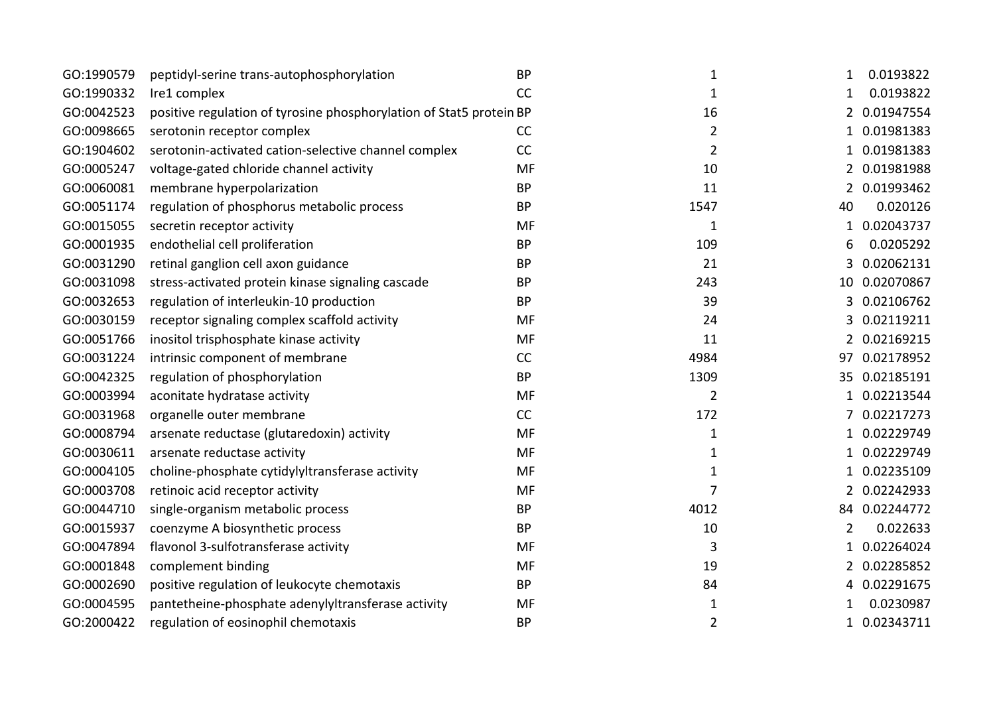| GO:1990579 | peptidyl-serine trans-autophosphorylation                           | <b>BP</b> | 1              | 0.0193822<br>1             |
|------------|---------------------------------------------------------------------|-----------|----------------|----------------------------|
| GO:1990332 | Ire1 complex                                                        | <b>CC</b> | 1              | 0.0193822<br>1             |
| GO:0042523 | positive regulation of tyrosine phosphorylation of Stat5 protein BP |           | 16             | 2 0.01947554               |
| GO:0098665 | serotonin receptor complex                                          | CC        | $\overline{2}$ | 0.01981383<br>1            |
| GO:1904602 | serotonin-activated cation-selective channel complex                | CC        | $\overline{2}$ | 0.01981383                 |
| GO:0005247 | voltage-gated chloride channel activity                             | <b>MF</b> | 10             | 2 0.01981988               |
| GO:0060081 | membrane hyperpolarization                                          | <b>BP</b> | 11             | 0.01993462                 |
| GO:0051174 | regulation of phosphorus metabolic process                          | <b>BP</b> | 1547           | 0.020126<br>40             |
| GO:0015055 | secretin receptor activity                                          | <b>MF</b> | 1              | 1 0.02043737               |
| GO:0001935 | endothelial cell proliferation                                      | <b>BP</b> | 109            | 0.0205292<br>6             |
| GO:0031290 | retinal ganglion cell axon guidance                                 | <b>BP</b> | 21             | 0.02062131<br>3            |
| GO:0031098 | stress-activated protein kinase signaling cascade                   | <b>BP</b> | 243            | 10 0.02070867              |
| GO:0032653 | regulation of interleukin-10 production                             | <b>BP</b> | 39             | 3 0.02106762               |
| GO:0030159 | receptor signaling complex scaffold activity                        | MF        | 24             | 3 0.02119211               |
| GO:0051766 | inositol trisphosphate kinase activity                              | MF        | 11             | 2 0.02169215               |
| GO:0031224 | intrinsic component of membrane                                     | CC        | 4984           | 97 0.02178952              |
| GO:0042325 | regulation of phosphorylation                                       | <b>BP</b> | 1309           | 35 0.02185191              |
| GO:0003994 | aconitate hydratase activity                                        | MF        | $\overline{2}$ | 1 0.02213544               |
| GO:0031968 | organelle outer membrane                                            | CC        | 172            | 0.02217273                 |
| GO:0008794 | arsenate reductase (glutaredoxin) activity                          | <b>MF</b> | 1              | 1 0.02229749               |
| GO:0030611 | arsenate reductase activity                                         | <b>MF</b> | 1              | 0.02229749                 |
| GO:0004105 | choline-phosphate cytidylyltransferase activity                     | MF        | $\mathbf{1}$   | 0.02235109<br>1            |
| GO:0003708 | retinoic acid receptor activity                                     | MF        | 7              | 0.02242933<br>2            |
| GO:0044710 | single-organism metabolic process                                   | <b>BP</b> | 4012           | 84 0.02244772              |
| GO:0015937 | coenzyme A biosynthetic process                                     | <b>BP</b> | 10             | 0.022633<br>2              |
| GO:0047894 | flavonol 3-sulfotransferase activity                                | <b>MF</b> | 3              | 0.02264024<br>$\mathbf{1}$ |
| GO:0001848 | complement binding                                                  | MF        | 19             | 0.02285852<br>2            |
| GO:0002690 | positive regulation of leukocyte chemotaxis                         | <b>BP</b> | 84             | 0.02291675<br>4            |
| GO:0004595 | pantetheine-phosphate adenylyltransferase activity                  | MF        | 1              | 0.0230987                  |
| GO:2000422 | regulation of eosinophil chemotaxis                                 | <b>BP</b> | $\overline{2}$ | 1 0.02343711               |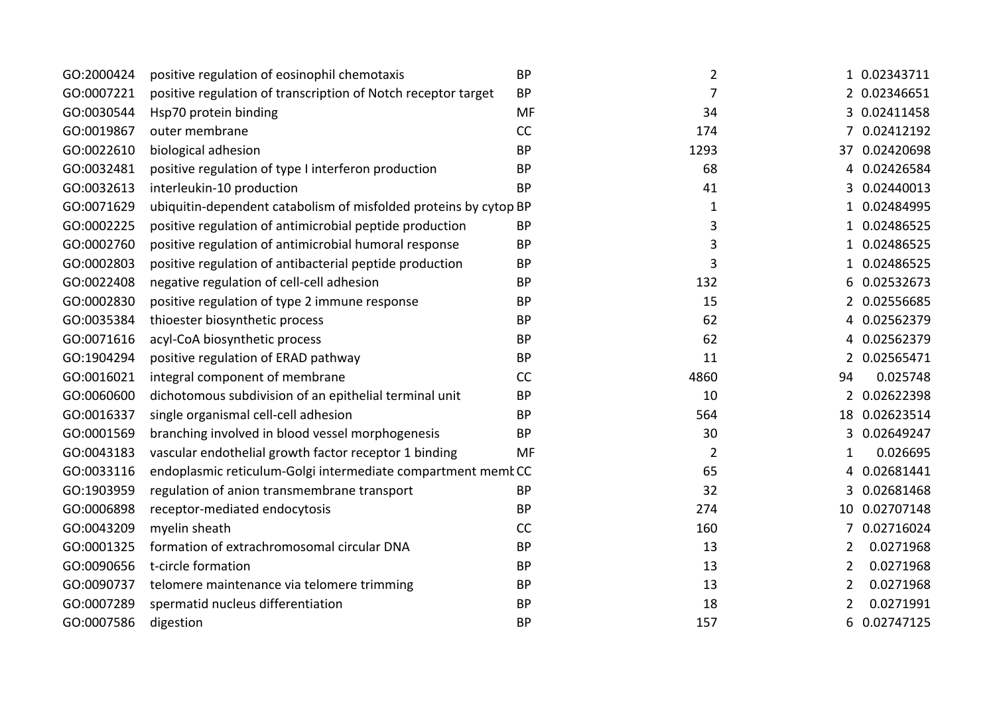| GO:2000424 | positive regulation of eosinophil chemotaxis                     | <b>BP</b> | $\overline{2}$ |                | 1 0.02343711  |
|------------|------------------------------------------------------------------|-----------|----------------|----------------|---------------|
| GO:0007221 | positive regulation of transcription of Notch receptor target    | <b>BP</b> | 7              |                | 2 0.02346651  |
| GO:0030544 | Hsp70 protein binding                                            | MF        | 34             |                | 3 0.02411458  |
| GO:0019867 | outer membrane                                                   | CC        | 174            |                | 0.02412192    |
| GO:0022610 | biological adhesion                                              | <b>BP</b> | 1293           |                | 37 0.02420698 |
| GO:0032481 | positive regulation of type I interferon production              | <b>BP</b> | 68             | 4              | 0.02426584    |
| GO:0032613 | interleukin-10 production                                        | <b>BP</b> | 41             | 3              | 0.02440013    |
| GO:0071629 | ubiquitin-dependent catabolism of misfolded proteins by cytop BP |           | $\mathbf 1$    | 1              | 0.02484995    |
| GO:0002225 | positive regulation of antimicrobial peptide production          | <b>BP</b> | 3              | 1              | 0.02486525    |
| GO:0002760 | positive regulation of antimicrobial humoral response            | <b>BP</b> | 3              | 1              | 0.02486525    |
| GO:0002803 | positive regulation of antibacterial peptide production          | <b>BP</b> | 3              | 1              | 0.02486525    |
| GO:0022408 | negative regulation of cell-cell adhesion                        | <b>BP</b> | 132            | 6              | 0.02532673    |
| GO:0002830 | positive regulation of type 2 immune response                    | <b>BP</b> | 15             |                | 2 0.02556685  |
| GO:0035384 | thioester biosynthetic process                                   | <b>BP</b> | 62             | 4              | 0.02562379    |
| GO:0071616 | acyl-CoA biosynthetic process                                    | <b>BP</b> | 62             | 4              | 0.02562379    |
| GO:1904294 | positive regulation of ERAD pathway                              | <b>BP</b> | 11             | 2              | 0.02565471    |
| GO:0016021 | integral component of membrane                                   | <b>CC</b> | 4860           | 94             | 0.025748      |
| GO:0060600 | dichotomous subdivision of an epithelial terminal unit           | <b>BP</b> | 10             |                | 2 0.02622398  |
| GO:0016337 | single organismal cell-cell adhesion                             | <b>BP</b> | 564            |                | 18 0.02623514 |
| GO:0001569 | branching involved in blood vessel morphogenesis                 | <b>BP</b> | 30             | 3              | 0.02649247    |
| GO:0043183 | vascular endothelial growth factor receptor 1 binding            | MF        | $\overline{2}$ | 1              | 0.026695      |
| GO:0033116 | endoplasmic reticulum-Golgi intermediate compartment membCC      |           | 65             | 4              | 0.02681441    |
| GO:1903959 | regulation of anion transmembrane transport                      | <b>BP</b> | 32             |                | 0.02681468    |
| GO:0006898 | receptor-mediated endocytosis                                    | <b>BP</b> | 274            | 10             | 0.02707148    |
| GO:0043209 | myelin sheath                                                    | CC        | 160            | 7              | 0.02716024    |
| GO:0001325 | formation of extrachromosomal circular DNA                       | <b>BP</b> | 13             | $\overline{2}$ | 0.0271968     |
| GO:0090656 | t-circle formation                                               | <b>BP</b> | 13             | 2              | 0.0271968     |
| GO:0090737 | telomere maintenance via telomere trimming                       | <b>BP</b> | 13             | 2              | 0.0271968     |
| GO:0007289 | spermatid nucleus differentiation                                | <b>BP</b> | 18             | 2              | 0.0271991     |
| GO:0007586 | digestion                                                        | <b>BP</b> | 157            | 6              | 0.02747125    |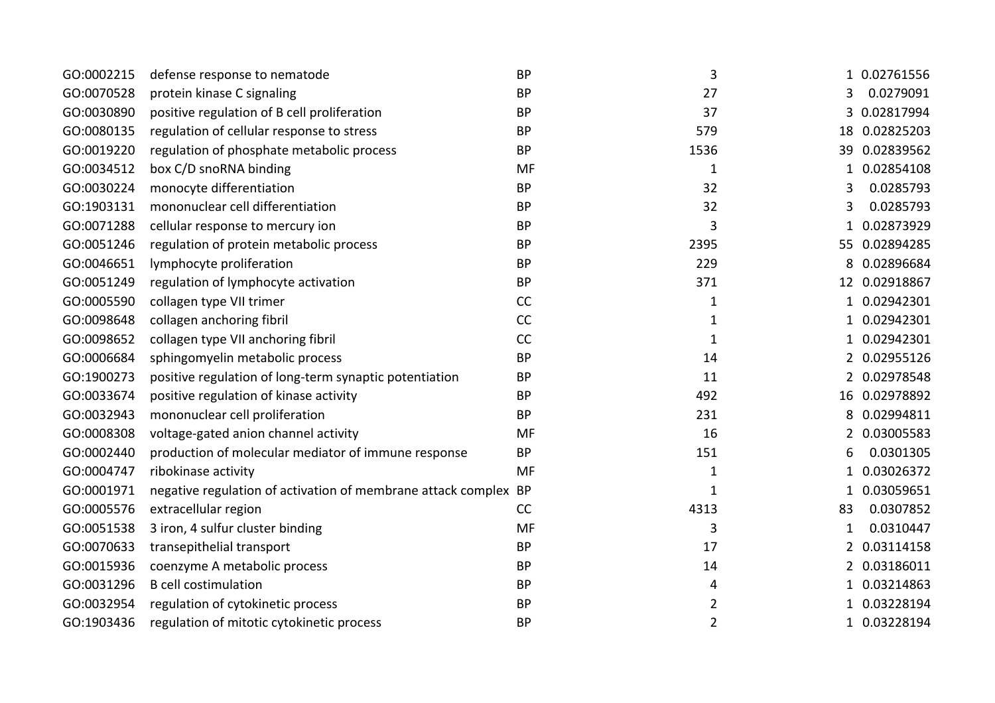| GO:0002215 | defense response to nematode                                    | <b>BP</b> | 3              |                | 1 0.02761556  |
|------------|-----------------------------------------------------------------|-----------|----------------|----------------|---------------|
| GO:0070528 | protein kinase C signaling                                      | <b>BP</b> | 27             | 3              | 0.0279091     |
| GO:0030890 | positive regulation of B cell proliferation                     | <b>BP</b> | 37             | 3              | 0.02817994    |
| GO:0080135 | regulation of cellular response to stress                       | <b>BP</b> | 579            |                | 18 0.02825203 |
| GO:0019220 | regulation of phosphate metabolic process                       | <b>BP</b> | 1536           |                | 39 0.02839562 |
| GO:0034512 | box C/D snoRNA binding                                          | MF        | 1              | 1              | 0.02854108    |
| GO:0030224 | monocyte differentiation                                        | <b>BP</b> | 32             | 3              | 0.0285793     |
| GO:1903131 | mononuclear cell differentiation                                | <b>BP</b> | 32             | 3              | 0.0285793     |
| GO:0071288 | cellular response to mercury ion                                | <b>BP</b> | 3              |                | 0.02873929    |
| GO:0051246 | regulation of protein metabolic process                         | <b>BP</b> | 2395           | 55             | 0.02894285    |
| GO:0046651 | lymphocyte proliferation                                        | <b>BP</b> | 229            |                | 0.02896684    |
| GO:0051249 | regulation of lymphocyte activation                             | <b>BP</b> | 371            |                | 12 0.02918867 |
| GO:0005590 | collagen type VII trimer                                        | CC        | $\mathbf 1$    |                | 0.02942301    |
| GO:0098648 | collagen anchoring fibril                                       | CC        | 1              | 1              | 0.02942301    |
| GO:0098652 | collagen type VII anchoring fibril                              | CC        | 1              | 1              | 0.02942301    |
| GO:0006684 | sphingomyelin metabolic process                                 | <b>BP</b> | 14             | $\overline{2}$ | 0.02955126    |
| GO:1900273 | positive regulation of long-term synaptic potentiation          | <b>BP</b> | 11             |                | 2 0.02978548  |
| GO:0033674 | positive regulation of kinase activity                          | <b>BP</b> | 492            |                | 16 0.02978892 |
| GO:0032943 | mononuclear cell proliferation                                  | <b>BP</b> | 231            | 8              | 0.02994811    |
| GO:0008308 | voltage-gated anion channel activity                            | MF        | 16             | 2              | 0.03005583    |
| GO:0002440 | production of molecular mediator of immune response             | <b>BP</b> | 151            |                | 0.0301305     |
| GO:0004747 | ribokinase activity                                             | MF        | 1              | 1              | 0.03026372    |
| GO:0001971 | negative regulation of activation of membrane attack complex BP |           | $\mathbf 1$    |                | 0.03059651    |
| GO:0005576 | extracellular region                                            | CC        | 4313           | 83             | 0.0307852     |
| GO:0051538 | 3 iron, 4 sulfur cluster binding                                | MF        | 3              | 1              | 0.0310447     |
| GO:0070633 | transepithelial transport                                       | <b>BP</b> | 17             | 2              | 0.03114158    |
| GO:0015936 | coenzyme A metabolic process                                    | <b>BP</b> | 14             | 2              | 0.03186011    |
| GO:0031296 | <b>B</b> cell costimulation                                     | <b>BP</b> | 4              | 1              | 0.03214863    |
| GO:0032954 | regulation of cytokinetic process                               | <b>BP</b> | 2              |                | 0.03228194    |
| GO:1903436 | regulation of mitotic cytokinetic process                       | <b>BP</b> | $\overline{2}$ | 1              | 0.03228194    |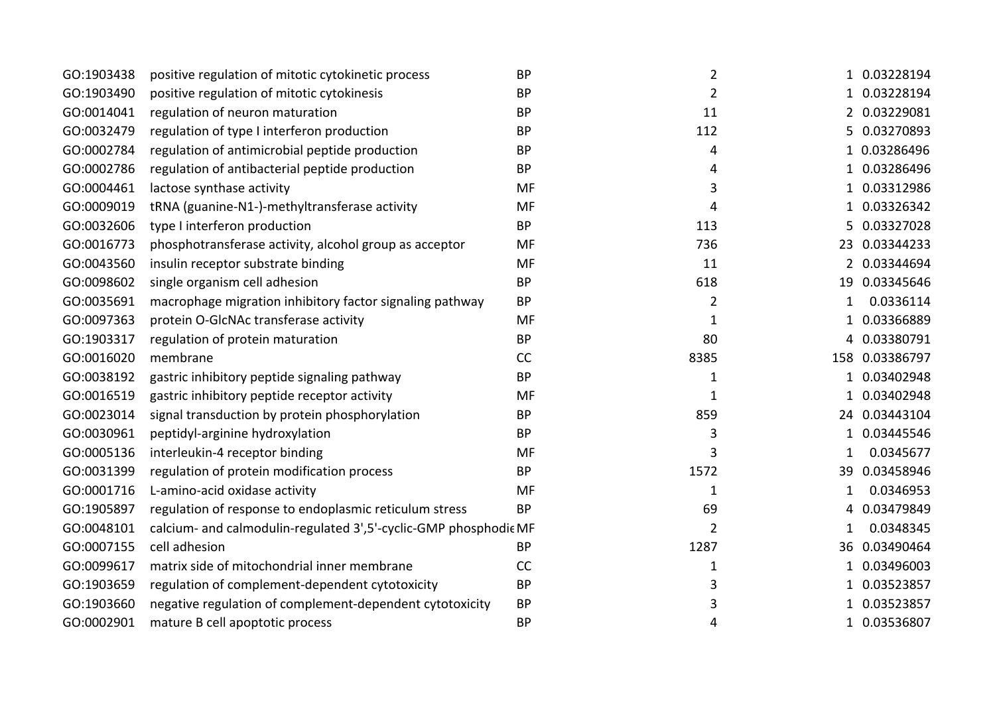| GO:1903438 | positive regulation of mitotic cytokinetic process              | <b>BP</b> | $\overline{2}$ |   | 1 0.03228194   |
|------------|-----------------------------------------------------------------|-----------|----------------|---|----------------|
| GO:1903490 | positive regulation of mitotic cytokinesis                      | <b>BP</b> | $\overline{2}$ |   | 1 0.03228194   |
| GO:0014041 | regulation of neuron maturation                                 | <b>BP</b> | 11             |   | 2 0.03229081   |
| GO:0032479 | regulation of type I interferon production                      | <b>BP</b> | 112            |   | 5 0.03270893   |
| GO:0002784 | regulation of antimicrobial peptide production                  | <b>BP</b> | 4              |   | 1 0.03286496   |
| GO:0002786 | regulation of antibacterial peptide production                  | <b>BP</b> | 4              |   | 1 0.03286496   |
| GO:0004461 | lactose synthase activity                                       | MF        | 3              |   | 1 0.03312986   |
| GO:0009019 | tRNA (guanine-N1-)-methyltransferase activity                   | MF        | 4              | 1 | 0.03326342     |
| GO:0032606 | type I interferon production                                    | <b>BP</b> | 113            |   | 5 0.03327028   |
| GO:0016773 | phosphotransferase activity, alcohol group as acceptor          | MF        | 736            |   | 23 0.03344233  |
| GO:0043560 | insulin receptor substrate binding                              | MF        | 11             |   | 2 0.03344694   |
| GO:0098602 | single organism cell adhesion                                   | <b>BP</b> | 618            |   | 19 0.03345646  |
| GO:0035691 | macrophage migration inhibitory factor signaling pathway        | <b>BP</b> | $\overline{2}$ | 1 | 0.0336114      |
| GO:0097363 | protein O-GlcNAc transferase activity                           | <b>MF</b> | 1              | 1 | 0.03366889     |
| GO:1903317 | regulation of protein maturation                                | <b>BP</b> | 80             |   | 4 0.03380791   |
| GO:0016020 | membrane                                                        | CC        | 8385           |   | 158 0.03386797 |
| GO:0038192 | gastric inhibitory peptide signaling pathway                    | <b>BP</b> | 1              |   | 1 0.03402948   |
| GO:0016519 | gastric inhibitory peptide receptor activity                    | MF        | $\mathbf{1}$   |   | 1 0.03402948   |
| GO:0023014 | signal transduction by protein phosphorylation                  | <b>BP</b> | 859            |   | 24 0.03443104  |
| GO:0030961 | peptidyl-arginine hydroxylation                                 | <b>BP</b> | 3              |   | 1 0.03445546   |
| GO:0005136 | interleukin-4 receptor binding                                  | MF        | 3              |   | 0.0345677      |
| GO:0031399 | regulation of protein modification process                      | <b>BP</b> | 1572           |   | 39 0.03458946  |
| GO:0001716 | L-amino-acid oxidase activity                                   | MF        | $\mathbf{1}$   | 1 | 0.0346953      |
| GO:1905897 | regulation of response to endoplasmic reticulum stress          | <b>BP</b> | 69             | 4 | 0.03479849     |
| GO:0048101 | calcium- and calmodulin-regulated 3',5'-cyclic-GMP phosphodieMF |           | $\overline{2}$ |   | 0.0348345      |
| GO:0007155 | cell adhesion                                                   | <b>BP</b> | 1287           |   | 36 0.03490464  |
| GO:0099617 | matrix side of mitochondrial inner membrane                     | CC        | 1              |   | 0.03496003     |
| GO:1903659 | regulation of complement-dependent cytotoxicity                 | <b>BP</b> | 3              | 1 | 0.03523857     |
| GO:1903660 | negative regulation of complement-dependent cytotoxicity        | <b>BP</b> | 3              |   | 0.03523857     |
| GO:0002901 | mature B cell apoptotic process                                 | <b>BP</b> | 4              |   | 1 0.03536807   |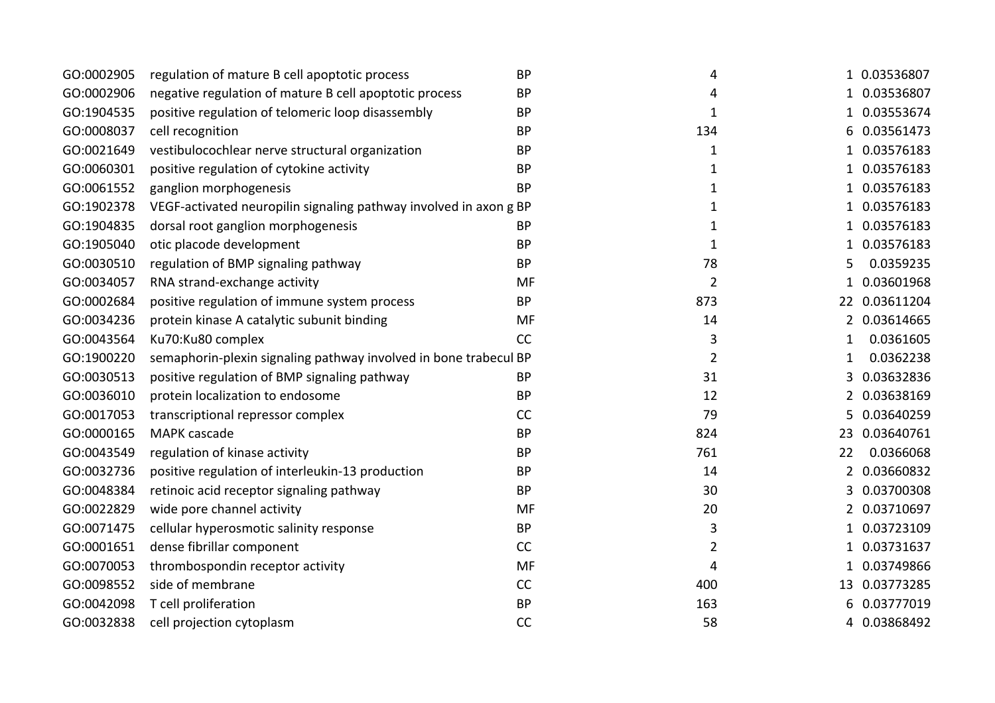| GO:0002905 | regulation of mature B cell apoptotic process                     | <b>BP</b> | 4              | 1 0.03536807                        |
|------------|-------------------------------------------------------------------|-----------|----------------|-------------------------------------|
| GO:0002906 | negative regulation of mature B cell apoptotic process            | <b>BP</b> | 4              | 0.03536807<br>$\mathbf{1}$          |
| GO:1904535 | positive regulation of telomeric loop disassembly                 | <b>BP</b> | 1              | 0.03553674                          |
| GO:0008037 | cell recognition                                                  | <b>BP</b> | 134            | 6 0.03561473                        |
| GO:0021649 | vestibulocochlear nerve structural organization                   | <b>BP</b> | 1              | 0.03576183                          |
| GO:0060301 | positive regulation of cytokine activity                          | <b>BP</b> | 1              | 0.03576183<br>1                     |
| GO:0061552 | ganglion morphogenesis                                            | <b>BP</b> | 1              | 0.03576183                          |
| GO:1902378 | VEGF-activated neuropilin signaling pathway involved in axon g BP |           | $\mathbf 1$    | 0.03576183<br>$\mathbf{1}$          |
| GO:1904835 | dorsal root ganglion morphogenesis                                | <b>BP</b> | $\mathbf 1$    | 0.03576183                          |
| GO:1905040 | otic placode development                                          | <b>BP</b> | $\mathbf 1$    | 0.03576183<br>$\mathbf{1}$          |
| GO:0030510 | regulation of BMP signaling pathway                               | <b>BP</b> | 78             | 0.0359235<br>5                      |
| GO:0034057 | RNA strand-exchange activity                                      | MF        | $\overline{2}$ | 0.03601968<br>$\mathbf{1}$          |
| GO:0002684 | positive regulation of immune system process                      | <b>BP</b> | 873            | 22 0.03611204                       |
| GO:0034236 | protein kinase A catalytic subunit binding                        | MF        | 14             | 0.03614665<br>$\overline{2}$        |
| GO:0043564 | Ku70:Ku80 complex                                                 | CC        | 3              | 0.0361605<br>1                      |
| GO:1900220 | semaphorin-plexin signaling pathway involved in bone trabecul BP  |           | 2              | 0.0362238<br>$\mathbf{1}$           |
| GO:0030513 | positive regulation of BMP signaling pathway                      | <b>BP</b> | 31             | 0.03632836<br>3                     |
| GO:0036010 | protein localization to endosome                                  | <b>BP</b> | 12             | 0.03638169<br>2                     |
| GO:0017053 | transcriptional repressor complex                                 | CC        | 79             | 0.03640259<br>5                     |
| GO:0000165 | MAPK cascade                                                      | <b>BP</b> | 824            | 0.03640761<br>23                    |
| GO:0043549 | regulation of kinase activity                                     | <b>BP</b> | 761            | 0.0366068<br>22                     |
| GO:0032736 | positive regulation of interleukin-13 production                  | <b>BP</b> | 14             | 0.03660832<br>$\mathbf{2}^{\prime}$ |
| GO:0048384 | retinoic acid receptor signaling pathway                          | <b>BP</b> | 30             | 0.03700308<br>3                     |
| GO:0022829 | wide pore channel activity                                        | MF        | 20             | 0.03710697<br>2                     |
| GO:0071475 | cellular hyperosmotic salinity response                           | <b>BP</b> | 3              | 0.03723109                          |
| GO:0001651 | dense fibrillar component                                         | CC        | 2              | 0.03731637<br>1                     |
| GO:0070053 | thrombospondin receptor activity                                  | MF        | 4              | 0.03749866                          |
| GO:0098552 | side of membrane                                                  | CC        | 400            | 13 0.03773285                       |
| GO:0042098 | T cell proliferation                                              | <b>BP</b> | 163            | 0.03777019                          |
| GO:0032838 | cell projection cytoplasm                                         | CC        | 58             | 0.03868492<br>4                     |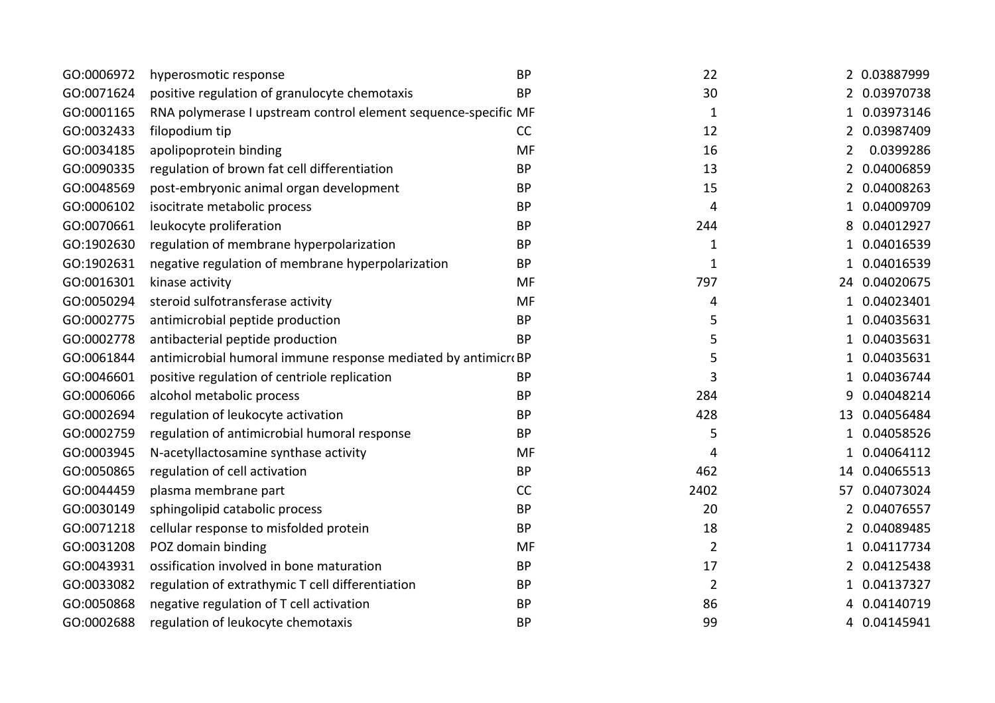| GO:0006972 | hyperosmotic response                                          | <b>BP</b> | 22             |              | 2 0.03887999  |
|------------|----------------------------------------------------------------|-----------|----------------|--------------|---------------|
| GO:0071624 | positive regulation of granulocyte chemotaxis                  | <b>BP</b> | 30             |              | 2 0.03970738  |
| GO:0001165 | RNA polymerase I upstream control element sequence-specific MF |           | $\mathbf{1}$   | 1            | 0.03973146    |
| GO:0032433 | filopodium tip                                                 | CC        | 12             | 2            | 0.03987409    |
| GO:0034185 | apolipoprotein binding                                         | <b>MF</b> | 16             | 2            | 0.0399286     |
| GO:0090335 | regulation of brown fat cell differentiation                   | <b>BP</b> | 13             | 2            | 0.04006859    |
| GO:0048569 | post-embryonic animal organ development                        | <b>BP</b> | 15             |              | 0.04008263    |
| GO:0006102 | isocitrate metabolic process                                   | <b>BP</b> | 4              | 1            | 0.04009709    |
| GO:0070661 | leukocyte proliferation                                        | <b>BP</b> | 244            | 8            | 0.04012927    |
| GO:1902630 | regulation of membrane hyperpolarization                       | <b>BP</b> | $\mathbf{1}$   | 1            | 0.04016539    |
| GO:1902631 | negative regulation of membrane hyperpolarization              | <b>BP</b> | $\mathbf 1$    |              | 0.04016539    |
| GO:0016301 | kinase activity                                                | <b>MF</b> | 797            |              | 24 0.04020675 |
| GO:0050294 | steroid sulfotransferase activity                              | <b>MF</b> | 4              |              | 1 0.04023401  |
| GO:0002775 | antimicrobial peptide production                               | <b>BP</b> | 5              | $\mathbf{1}$ | 0.04035631    |
| GO:0002778 | antibacterial peptide production                               | <b>BP</b> | 5              | 1            | 0.04035631    |
| GO:0061844 | antimicrobial humoral immune response mediated by antimicroBP  |           | 5              | 1            | 0.04035631    |
| GO:0046601 | positive regulation of centriole replication                   | <b>BP</b> | 3              | 1            | 0.04036744    |
| GO:0006066 | alcohol metabolic process                                      | <b>BP</b> | 284            | 9            | 0.04048214    |
| GO:0002694 | regulation of leukocyte activation                             | <b>BP</b> | 428            |              | 13 0.04056484 |
| GO:0002759 | regulation of antimicrobial humoral response                   | <b>BP</b> | 5              | 1            | 0.04058526    |
| GO:0003945 | N-acetyllactosamine synthase activity                          | MF        | 4              | 1            | 0.04064112    |
| GO:0050865 | regulation of cell activation                                  | <b>BP</b> | 462            | 14           | 0.04065513    |
| GO:0044459 | plasma membrane part                                           | CC        | 2402           | 57           | 0.04073024    |
| GO:0030149 | sphingolipid catabolic process                                 | <b>BP</b> | 20             | 2            | 0.04076557    |
| GO:0071218 | cellular response to misfolded protein                         | <b>BP</b> | 18             | 2            | 0.04089485    |
| GO:0031208 | POZ domain binding                                             | MF        | $\overline{2}$ | 1            | 0.04117734    |
| GO:0043931 | ossification involved in bone maturation                       | <b>BP</b> | 17             | 2            | 0.04125438    |
| GO:0033082 | regulation of extrathymic T cell differentiation               | <b>BP</b> | $\overline{2}$ | 1            | 0.04137327    |
| GO:0050868 | negative regulation of T cell activation                       | <b>BP</b> | 86             |              | 0.04140719    |
| GO:0002688 | regulation of leukocyte chemotaxis                             | <b>BP</b> | 99             |              | 4 0.04145941  |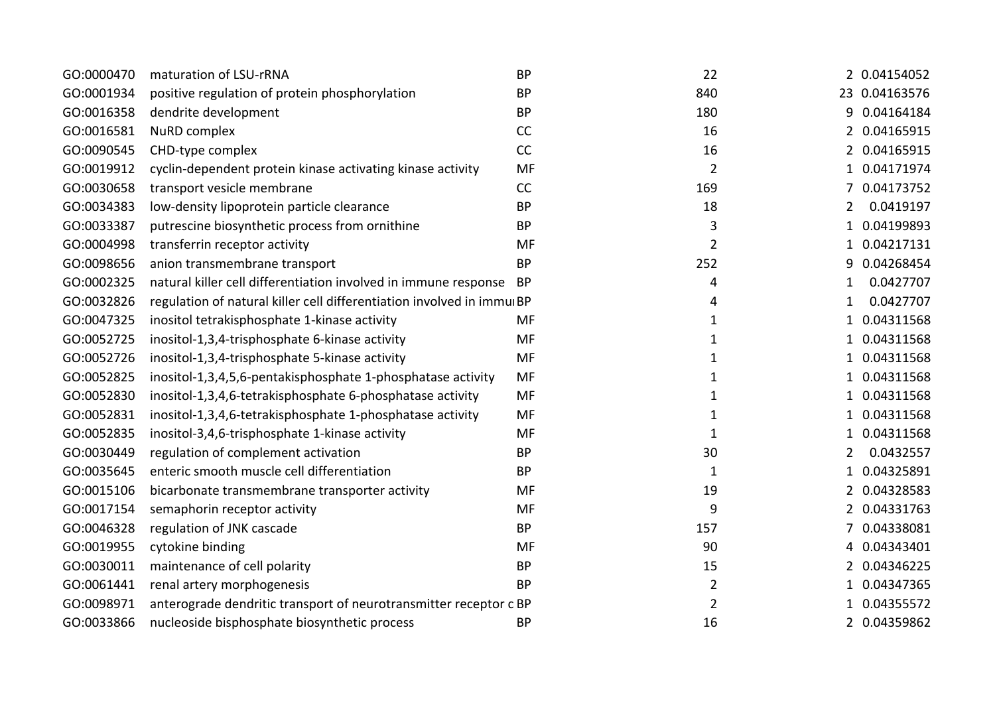| GO:0000470 | maturation of LSU-rRNA                                                | <b>BP</b> | 22             |                | 2 0.04154052  |
|------------|-----------------------------------------------------------------------|-----------|----------------|----------------|---------------|
| GO:0001934 | positive regulation of protein phosphorylation                        | <b>BP</b> | 840            |                | 23 0.04163576 |
| GO:0016358 | dendrite development                                                  | <b>BP</b> | 180            | 9              | 0.04164184    |
| GO:0016581 | <b>NuRD</b> complex                                                   | CC        | 16             |                | 2 0.04165915  |
| GO:0090545 | CHD-type complex                                                      | CC        | 16             |                | 2 0.04165915  |
| GO:0019912 | cyclin-dependent protein kinase activating kinase activity            | <b>MF</b> | $\overline{2}$ | 1              | 0.04171974    |
| GO:0030658 | transport vesicle membrane                                            | CC        | 169            |                | 0.04173752    |
| GO:0034383 | low-density lipoprotein particle clearance                            | <b>BP</b> | 18             | $\overline{2}$ | 0.0419197     |
| GO:0033387 | putrescine biosynthetic process from ornithine                        | <b>BP</b> | 3              | 1              | 0.04199893    |
| GO:0004998 | transferrin receptor activity                                         | MF        | $\overline{2}$ | 1              | 0.04217131    |
| GO:0098656 | anion transmembrane transport                                         | <b>BP</b> | 252            | 9              | 0.04268454    |
| GO:0002325 | natural killer cell differentiation involved in immune response       | <b>BP</b> | 4              | 1              | 0.0427707     |
| GO:0032826 | regulation of natural killer cell differentiation involved in immuiBP |           | 4              | 1              | 0.0427707     |
| GO:0047325 | inositol tetrakisphosphate 1-kinase activity                          | <b>MF</b> | 1              | 1              | 0.04311568    |
| GO:0052725 | inositol-1,3,4-trisphosphate 6-kinase activity                        | <b>MF</b> | 1              | 1              | 0.04311568    |
| GO:0052726 | inositol-1,3,4-trisphosphate 5-kinase activity                        | <b>MF</b> | $\mathbf{1}$   | $\mathbf{1}$   | 0.04311568    |
| GO:0052825 | inositol-1,3,4,5,6-pentakisphosphate 1-phosphatase activity           | <b>MF</b> | 1              | $\mathbf{1}$   | 0.04311568    |
| GO:0052830 | inositol-1,3,4,6-tetrakisphosphate 6-phosphatase activity             | MF        | 1              | 1              | 0.04311568    |
| GO:0052831 | inositol-1,3,4,6-tetrakisphosphate 1-phosphatase activity             | MF        | 1              | 1              | 0.04311568    |
| GO:0052835 | inositol-3,4,6-trisphosphate 1-kinase activity                        | MF        | $\mathbf 1$    | 1              | 0.04311568    |
| GO:0030449 | regulation of complement activation                                   | <b>BP</b> | 30             | 2              | 0.0432557     |
| GO:0035645 | enteric smooth muscle cell differentiation                            | <b>BP</b> | $\mathbf{1}$   | 1              | 0.04325891    |
| GO:0015106 | bicarbonate transmembrane transporter activity                        | MF        | 19             |                | 0.04328583    |
| GO:0017154 | semaphorin receptor activity                                          | <b>MF</b> | 9              | $\overline{2}$ | 0.04331763    |
| GO:0046328 | regulation of JNK cascade                                             | <b>BP</b> | 157            |                | 0.04338081    |
| GO:0019955 | cytokine binding                                                      | MF        | 90             | 4              | 0.04343401    |
| GO:0030011 | maintenance of cell polarity                                          | <b>BP</b> | 15             | 2              | 0.04346225    |
| GO:0061441 | renal artery morphogenesis                                            | <b>BP</b> | $\overline{2}$ | 1              | 0.04347365    |
| GO:0098971 | anterograde dendritic transport of neurotransmitter receptor c BP     |           | $\overline{2}$ |                | 0.04355572    |
| GO:0033866 | nucleoside bisphosphate biosynthetic process                          | <b>BP</b> | 16             |                | 2 0.04359862  |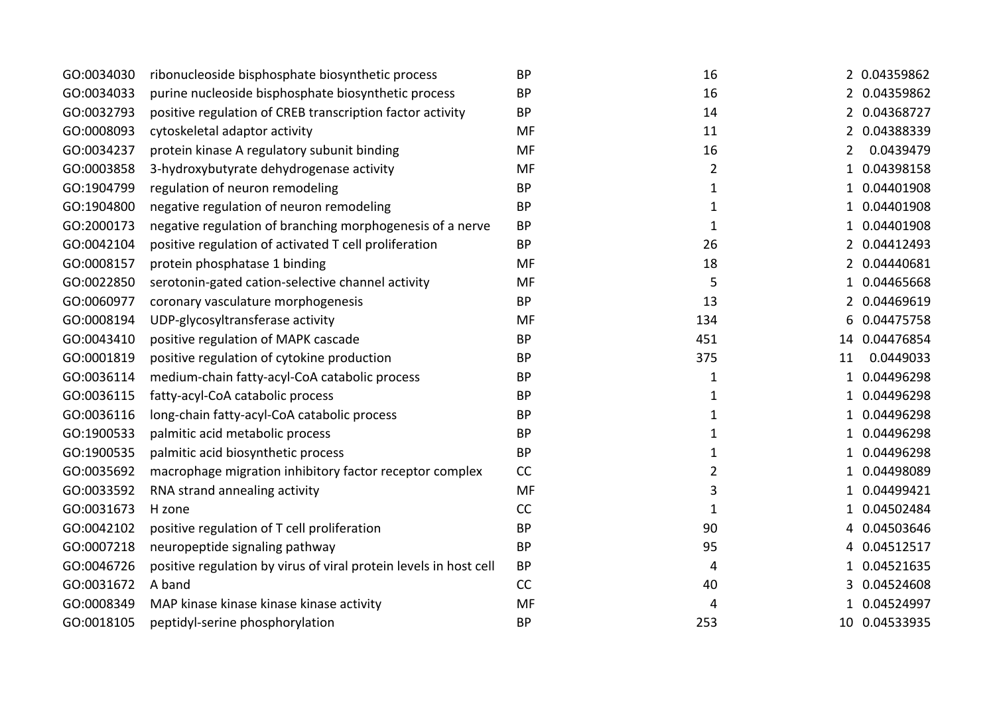| GO:0034030 | ribonucleoside bisphosphate biosynthetic process                  | <b>BP</b> | 16             |              | 2 0.04359862  |
|------------|-------------------------------------------------------------------|-----------|----------------|--------------|---------------|
| GO:0034033 | purine nucleoside bisphosphate biosynthetic process               | <b>BP</b> | 16             |              | 2 0.04359862  |
| GO:0032793 | positive regulation of CREB transcription factor activity         | <b>BP</b> | 14             |              | 2 0.04368727  |
| GO:0008093 | cytoskeletal adaptor activity                                     | <b>MF</b> | 11             |              | 2 0.04388339  |
| GO:0034237 | protein kinase A regulatory subunit binding                       | MF        | 16             | 2            | 0.0439479     |
| GO:0003858 | 3-hydroxybutyrate dehydrogenase activity                          | MF        | $\overline{2}$ | 1            | 0.04398158    |
| GO:1904799 | regulation of neuron remodeling                                   | <b>BP</b> | 1              |              | 0.04401908    |
| GO:1904800 | negative regulation of neuron remodeling                          | <b>BP</b> | 1              | 1            | 0.04401908    |
| GO:2000173 | negative regulation of branching morphogenesis of a nerve         | <b>BP</b> | $\mathbf 1$    |              | 0.04401908    |
| GO:0042104 | positive regulation of activated T cell proliferation             | <b>BP</b> | 26             |              | 2 0.04412493  |
| GO:0008157 | protein phosphatase 1 binding                                     | MF        | 18             | 2            | 0.04440681    |
| GO:0022850 | serotonin-gated cation-selective channel activity                 | MF        | 5              | $\mathbf{1}$ | 0.04465668    |
| GO:0060977 | coronary vasculature morphogenesis                                | <b>BP</b> | 13             |              | 0.04469619    |
| GO:0008194 | UDP-glycosyltransferase activity                                  | <b>MF</b> | 134            | 6            | 0.04475758    |
| GO:0043410 | positive regulation of MAPK cascade                               | <b>BP</b> | 451            | 14           | 0.04476854    |
| GO:0001819 | positive regulation of cytokine production                        | <b>BP</b> | 375            | 11           | 0.0449033     |
| GO:0036114 | medium-chain fatty-acyl-CoA catabolic process                     | <b>BP</b> | 1              | $\mathbf{1}$ | 0.04496298    |
| GO:0036115 | fatty-acyl-CoA catabolic process                                  | <b>BP</b> | 1              | 1            | 0.04496298    |
| GO:0036116 | long-chain fatty-acyl-CoA catabolic process                       | <b>BP</b> | 1              |              | 0.04496298    |
| GO:1900533 | palmitic acid metabolic process                                   | <b>BP</b> | 1              | 1            | 0.04496298    |
| GO:1900535 | palmitic acid biosynthetic process                                | <b>BP</b> | $\mathbf 1$    |              | 0.04496298    |
| GO:0035692 | macrophage migration inhibitory factor receptor complex           | CC        | $\overline{2}$ | 1            | 0.04498089    |
| GO:0033592 | RNA strand annealing activity                                     | MF        | 3              |              | 0.04499421    |
| GO:0031673 | H zone                                                            | CC        | $\mathbf 1$    | 1            | 0.04502484    |
| GO:0042102 | positive regulation of T cell proliferation                       | <b>BP</b> | 90             | 4            | 0.04503646    |
| GO:0007218 | neuropeptide signaling pathway                                    | <b>BP</b> | 95             | 4            | 0.04512517    |
| GO:0046726 | positive regulation by virus of viral protein levels in host cell | <b>BP</b> | 4              |              | 0.04521635    |
| GO:0031672 | A band                                                            | CC        | 40             | 3            | 0.04524608    |
| GO:0008349 | MAP kinase kinase kinase kinase activity                          | <b>MF</b> | 4              |              | 0.04524997    |
| GO:0018105 | peptidyl-serine phosphorylation                                   | <b>BP</b> | 253            |              | 10 0.04533935 |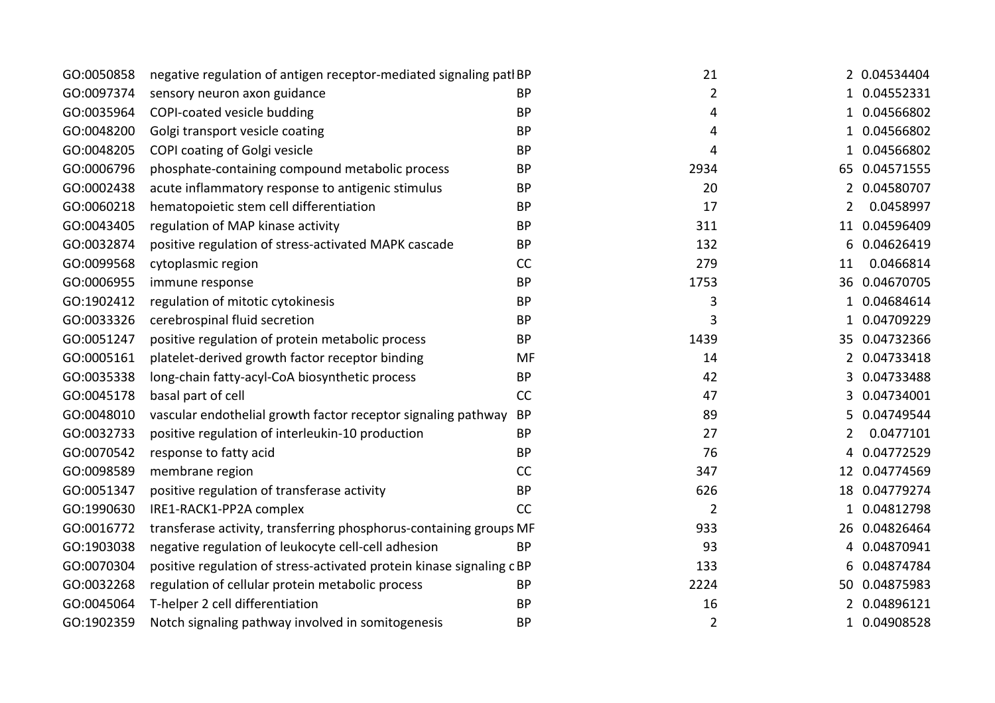|                                                               |                                                             |                                                                                                                                                                                                                                           |                      | 2 0.04534404  |
|---------------------------------------------------------------|-------------------------------------------------------------|-------------------------------------------------------------------------------------------------------------------------------------------------------------------------------------------------------------------------------------------|----------------------|---------------|
|                                                               |                                                             |                                                                                                                                                                                                                                           |                      |               |
|                                                               |                                                             |                                                                                                                                                                                                                                           |                      | 1 0.04552331  |
|                                                               |                                                             | 4                                                                                                                                                                                                                                         |                      | 1 0.04566802  |
| Golgi transport vesicle coating                               | <b>BP</b>                                                   | 4                                                                                                                                                                                                                                         |                      | 1 0.04566802  |
| COPI coating of Golgi vesicle                                 | <b>BP</b>                                                   | 4                                                                                                                                                                                                                                         |                      | 1 0.04566802  |
| phosphate-containing compound metabolic process               | <b>BP</b>                                                   | 2934                                                                                                                                                                                                                                      |                      | 65 0.04571555 |
| acute inflammatory response to antigenic stimulus             | <b>BP</b>                                                   | 20                                                                                                                                                                                                                                        |                      | 2 0.04580707  |
| hematopoietic stem cell differentiation                       | <b>BP</b>                                                   | 17                                                                                                                                                                                                                                        | 2                    | 0.0458997     |
| regulation of MAP kinase activity                             | <b>BP</b>                                                   | 311                                                                                                                                                                                                                                       |                      | 11 0.04596409 |
| positive regulation of stress-activated MAPK cascade          | <b>BP</b>                                                   | 132                                                                                                                                                                                                                                       | 6                    | 0.04626419    |
| cytoplasmic region                                            | <b>CC</b>                                                   | 279                                                                                                                                                                                                                                       | 11                   | 0.0466814     |
| immune response                                               | <b>BP</b>                                                   | 1753                                                                                                                                                                                                                                      |                      | 36 0.04670705 |
| regulation of mitotic cytokinesis                             | <b>BP</b>                                                   | 3                                                                                                                                                                                                                                         |                      | 1 0.04684614  |
| cerebrospinal fluid secretion                                 | <b>BP</b>                                                   | 3                                                                                                                                                                                                                                         |                      | 1 0.04709229  |
| positive regulation of protein metabolic process              | <b>BP</b>                                                   | 1439                                                                                                                                                                                                                                      |                      | 35 0.04732366 |
| platelet-derived growth factor receptor binding               | MF                                                          | 14                                                                                                                                                                                                                                        |                      | 2 0.04733418  |
| long-chain fatty-acyl-CoA biosynthetic process                | <b>BP</b>                                                   | 42                                                                                                                                                                                                                                        |                      | 3 0.04733488  |
| basal part of cell                                            | CC                                                          | 47                                                                                                                                                                                                                                        |                      | 3 0.04734001  |
| vascular endothelial growth factor receptor signaling pathway | <b>BP</b>                                                   | 89                                                                                                                                                                                                                                        |                      | 0.04749544    |
| positive regulation of interleukin-10 production              | <b>BP</b>                                                   | 27                                                                                                                                                                                                                                        | 2                    | 0.0477101     |
| response to fatty acid                                        | <b>BP</b>                                                   | 76                                                                                                                                                                                                                                        | 4                    | 0.04772529    |
| membrane region                                               | CC                                                          | 347                                                                                                                                                                                                                                       |                      | 12 0.04774569 |
| positive regulation of transferase activity                   | <b>BP</b>                                                   | 626                                                                                                                                                                                                                                       |                      | 18 0.04779274 |
| IRE1-RACK1-PP2A complex                                       | <b>CC</b>                                                   | $\overline{2}$                                                                                                                                                                                                                            |                      | 1 0.04812798  |
|                                                               |                                                             | 933                                                                                                                                                                                                                                       |                      | 26 0.04826464 |
| negative regulation of leukocyte cell-cell adhesion           | <b>BP</b>                                                   | 93                                                                                                                                                                                                                                        |                      | 4 0.04870941  |
|                                                               |                                                             | 133                                                                                                                                                                                                                                       |                      | 0.04874784    |
| regulation of cellular protein metabolic process              | <b>BP</b>                                                   | 2224                                                                                                                                                                                                                                      |                      | 50 0.04875983 |
| T-helper 2 cell differentiation                               | <b>BP</b>                                                   | 16                                                                                                                                                                                                                                        |                      | 0.04896121    |
| Notch signaling pathway involved in somitogenesis             | <b>BP</b>                                                   | $\overline{2}$                                                                                                                                                                                                                            |                      | 1 0.04908528  |
|                                                               | sensory neuron axon guidance<br>COPI-coated vesicle budding | negative regulation of antigen receptor-mediated signaling patlBP<br><b>BP</b><br><b>BP</b><br>transferase activity, transferring phosphorus-containing groups MF<br>positive regulation of stress-activated protein kinase signaling cBP | 21<br>$\overline{2}$ |               |